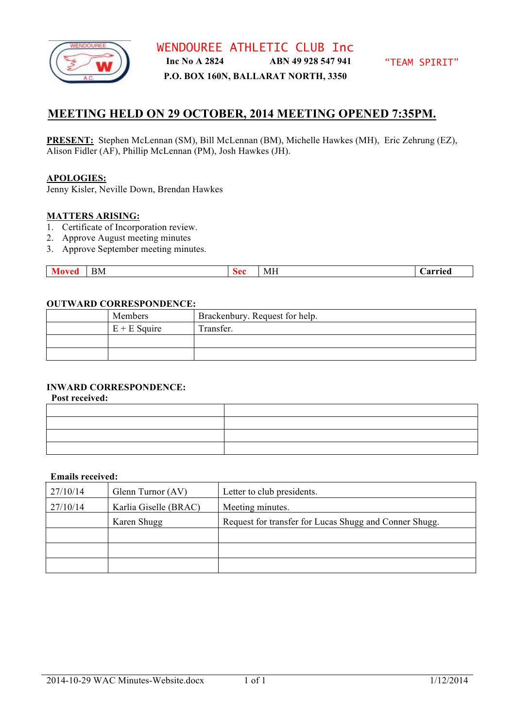

**P.O. BOX 160N, BALLARAT NORTH, 3350**

# **MEETING HELD ON 29 OCTOBER, 2014 MEETING OPENED 7:35PM.**

**PRESENT:** Stephen McLennan (SM), Bill McLennan (BM), Michelle Hawkes (MH), Eric Zehrung (EZ), Alison Fidler (AF), Phillip McLennan (PM), Josh Hawkes (JH).

## **APOLOGIES:**

Jenny Kisler, Neville Down, Brendan Hawkes

## **MATTERS ARISING:**

- 1. Certificate of Incorporation review.
- 2. Approve August meeting minutes
- 3. Approve September meeting minutes.

| .cu | BМ | n ce | ---<br>ML | arried |
|-----|----|------|-----------|--------|
|     |    |      |           |        |

## **OUTWARD CORRESPONDENCE:**

| Members        | Brackenbury. Request for help. |
|----------------|--------------------------------|
| $E + E$ Squire | Transfer.                      |
|                |                                |
|                |                                |

# **INWARD CORRESPONDENCE:**

**Post received:**

#### **Emails received:**

| 27/10/14 | Glenn Turnor (AV)     | Letter to club presidents.                             |
|----------|-----------------------|--------------------------------------------------------|
| 27/10/14 | Karlia Giselle (BRAC) | Meeting minutes.                                       |
|          | Karen Shugg           | Request for transfer for Lucas Shugg and Conner Shugg. |
|          |                       |                                                        |
|          |                       |                                                        |
|          |                       |                                                        |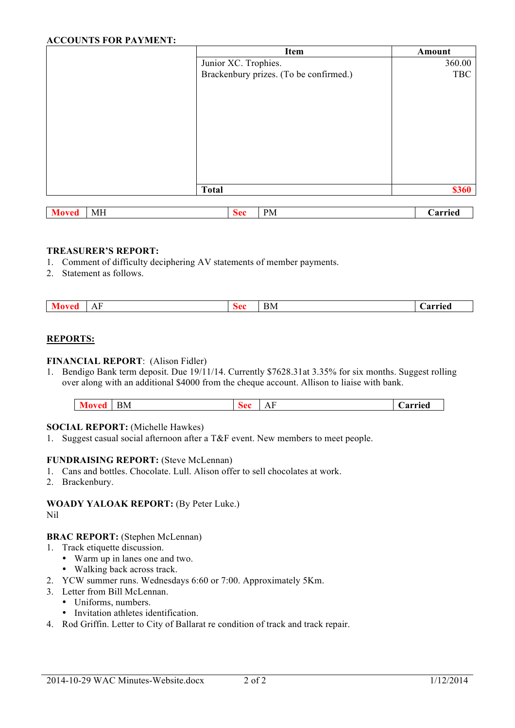## **ACCOUNTS FOR PAYMENT:**

| Item                                   | Amount     |
|----------------------------------------|------------|
| Junior XC. Trophies.                   | 360.00     |
| Brackenbury prizes. (To be confirmed.) | <b>TBC</b> |
|                                        |            |
|                                        |            |
|                                        |            |
|                                        |            |
|                                        |            |
|                                        |            |
|                                        |            |
|                                        |            |
|                                        |            |
| <b>Total</b>                           | \$360      |
|                                        |            |

| $\ddot{\phantom{a}}$ | $-$<br>MF. | <u>ה הצ</u> | $\sim$<br>PМ | $\sim$ $\sim$ $\sim$<br>aг<br>_______ |
|----------------------|------------|-------------|--------------|---------------------------------------|
|                      |            |             |              |                                       |

## **TREASURER'S REPORT:**

- 1. Comment of difficulty deciphering AV statements of member payments.
- 2. Statement as follows.

| еu | $\Delta$<br>$\overline{1}$ | śΩß<br>эсс- | BM. | ırriec |
|----|----------------------------|-------------|-----|--------|
|    |                            |             |     |        |

# **REPORTS:**

#### **FINANCIAL REPORT**: (Alison Fidler)

1. Bendigo Bank term deposit. Due 19/11/14. Currently \$7628.31at 3.35% for six months. Suggest rolling over along with an additional \$4000 from the cheque account. Allison to liaise with bank.

| 3M<br>$\mathbf{r}$<br>◡<br>$\mathbf{z}$<br>. <i>.</i><br><br>. |
|----------------------------------------------------------------|
|----------------------------------------------------------------|

#### **SOCIAL REPORT:** (Michelle Hawkes)

1. Suggest casual social afternoon after a T&F event. New members to meet people.

## **FUNDRAISING REPORT:** (Steve McLennan)

- 1. Cans and bottles. Chocolate. Lull. Alison offer to sell chocolates at work.
- 2. Brackenbury.

**WOADY YALOAK REPORT:** (By Peter Luke.) Nil

## **BRAC REPORT:** (Stephen McLennan)

- 1. Track etiquette discussion.
	- Warm up in lanes one and two.
	- Walking back across track.
- 2. YCW summer runs. Wednesdays 6:60 or 7:00. Approximately 5Km.
- 3. Letter from Bill McLennan.
	- Uniforms, numbers.
	- Invitation athletes identification.
- 4. Rod Griffin. Letter to City of Ballarat re condition of track and track repair.